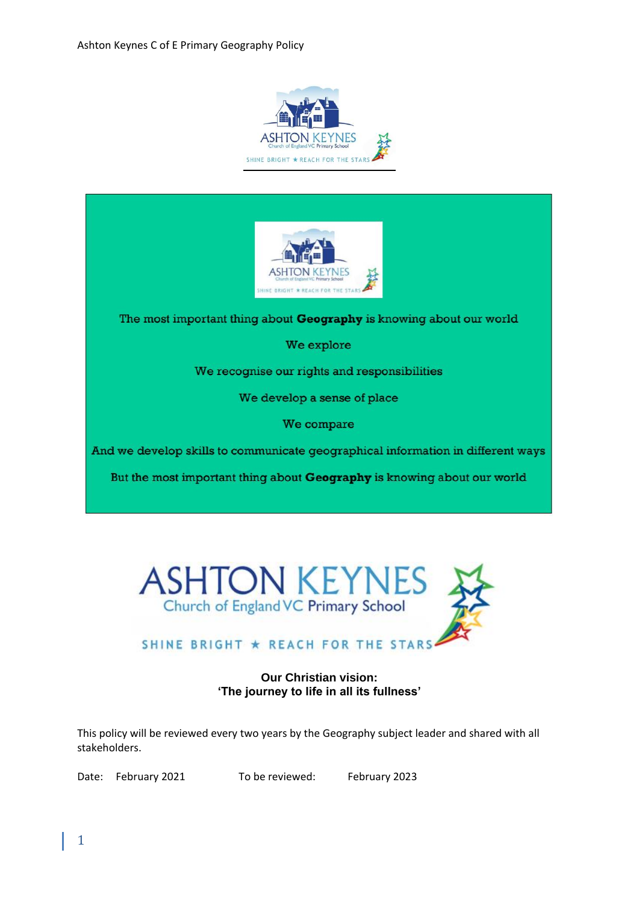



The most important thing about Geography is knowing about our world

We explore

We recognise our rights and responsibilities

We develop a sense of place

We compare

And we develop skills to communicate geographical information in different ways

But the most important thing about Geography is knowing about our world



# SHINE BRIGHT \* REACH FOR THE STARS.

### **Our Christian vision: 'The journey to life in all its fullness'**

This policy will be reviewed every two years by the Geography subject leader and shared with all stakeholders.

Date: February 2021 To be reviewed: February 2023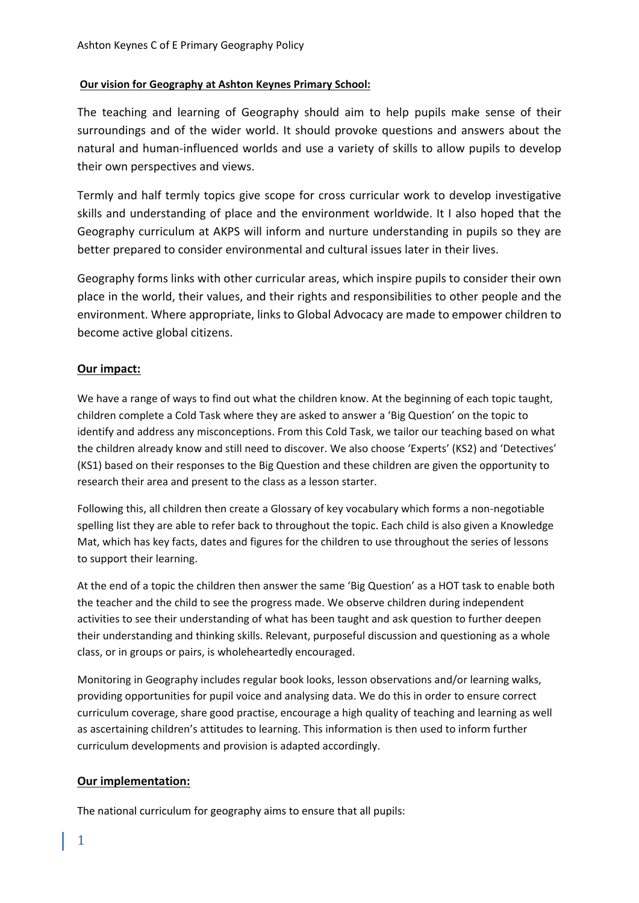### **Our vision for Geography at Ashton Keynes Primary School:**

The teaching and learning of Geography should aim to help pupils make sense of their surroundings and of the wider world. It should provoke questions and answers about the natural and human-influenced worlds and use a variety of skills to allow pupils to develop their own perspectives and views.

Termly and half termly topics give scope for cross curricular work to develop investigative skills and understanding of place and the environment worldwide. It I also hoped that the Geography curriculum at AKPS will inform and nurture understanding in pupils so they are better prepared to consider environmental and cultural issues later in their lives.

Geography forms links with other curricular areas, which inspire pupils to consider their own place in the world, their values, and their rights and responsibilities to other people and the environment. Where appropriate, links to Global Advocacy are made to empower children to become active global citizens.

# **Our impact:**

We have a range of ways to find out what the children know. At the beginning of each topic taught, children complete a Cold Task where they are asked to answer a 'Big Question' on the topic to identify and address any misconceptions. From this Cold Task, we tailor our teaching based on what the children already know and still need to discover. We also choose 'Experts' (KS2) and 'Detectives' (KS1) based on their responses to the Big Question and these children are given the opportunity to research their area and present to the class as a lesson starter.

Following this, all children then create a Glossary of key vocabulary which forms a non-negotiable spelling list they are able to refer back to throughout the topic. Each child is also given a Knowledge Mat, which has key facts, dates and figures for the children to use throughout the series of lessons to support their learning.

At the end of a topic the children then answer the same 'Big Question' as a HOT task to enable both the teacher and the child to see the progress made. We observe children during independent activities to see their understanding of what has been taught and ask question to further deepen their understanding and thinking skills. Relevant, purposeful discussion and questioning as a whole class, or in groups or pairs, is wholeheartedly encouraged.

Monitoring in Geography includes regular book looks, lesson observations and/or learning walks, providing opportunities for pupil voice and analysing data. We do this in order to ensure correct curriculum coverage, share good practise, encourage a high quality of teaching and learning as well as ascertaining children's attitudes to learning. This information is then used to inform further curriculum developments and provision is adapted accordingly.

### **Our implementation:**

The national curriculum for geography aims to ensure that all pupils: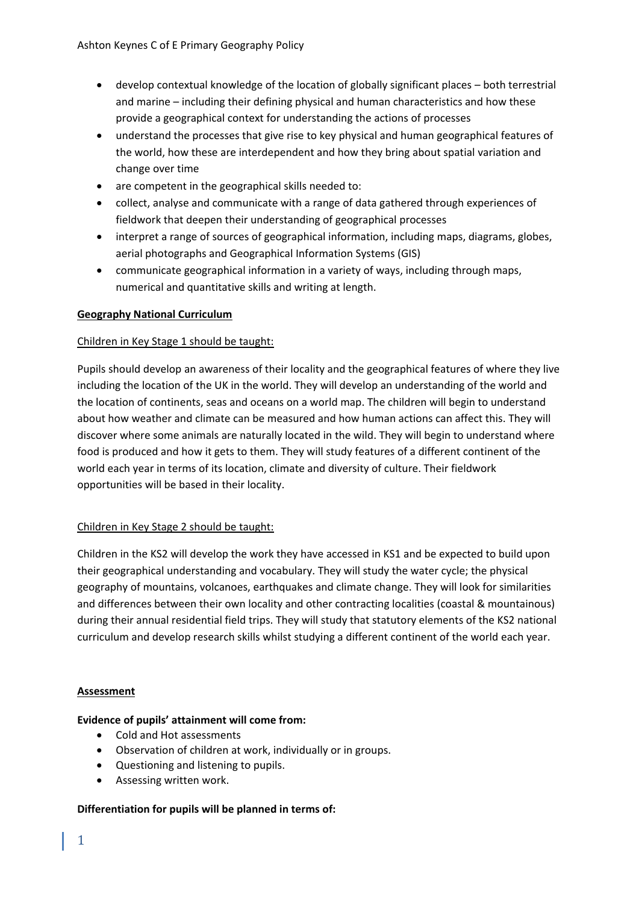- develop contextual knowledge of the location of globally significant places both terrestrial and marine – including their defining physical and human characteristics and how these provide a geographical context for understanding the actions of processes
- understand the processes that give rise to key physical and human geographical features of the world, how these are interdependent and how they bring about spatial variation and change over time
- are competent in the geographical skills needed to:
- collect, analyse and communicate with a range of data gathered through experiences of fieldwork that deepen their understanding of geographical processes
- interpret a range of sources of geographical information, including maps, diagrams, globes, aerial photographs and Geographical Information Systems (GIS)
- communicate geographical information in a variety of ways, including through maps, numerical and quantitative skills and writing at length.

# **Geography National Curriculum**

# Children in Key Stage 1 should be taught:

Pupils should develop an awareness of their locality and the geographical features of where they live including the location of the UK in the world. They will develop an understanding of the world and the location of continents, seas and oceans on a world map. The children will begin to understand about how weather and climate can be measured and how human actions can affect this. They will discover where some animals are naturally located in the wild. They will begin to understand where food is produced and how it gets to them. They will study features of a different continent of the world each year in terms of its location, climate and diversity of culture. Their fieldwork opportunities will be based in their locality.

### Children in Key Stage 2 should be taught:

Children in the KS2 will develop the work they have accessed in KS1 and be expected to build upon their geographical understanding and vocabulary. They will study the water cycle; the physical geography of mountains, volcanoes, earthquakes and climate change. They will look for similarities and differences between their own locality and other contracting localities (coastal & mountainous) during their annual residential field trips. They will study that statutory elements of the KS2 national curriculum and develop research skills whilst studying a different continent of the world each year.

### **Assessment**

### **Evidence of pupils' attainment will come from:**

- Cold and Hot assessments
- Observation of children at work, individually or in groups.
- Questioning and listening to pupils.
- Assessing written work.

### **Differentiation for pupils will be planned in terms of:**